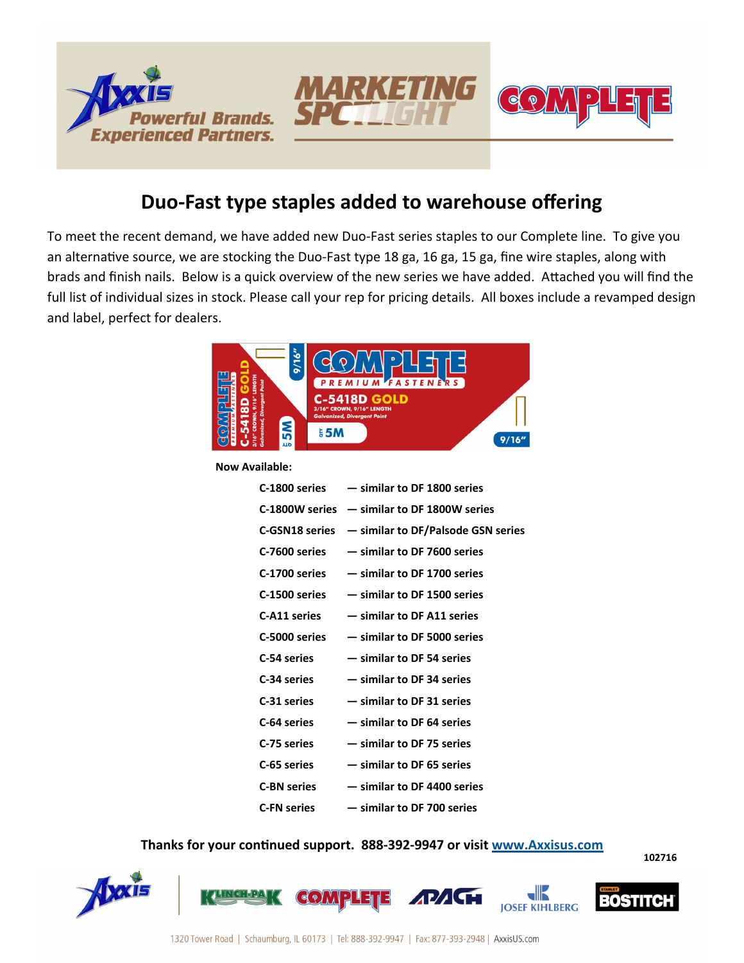



**102716** 

## **Duo-Fast type staples added to warehouse offering**

To meet the recent demand, we have added new Duo-Fast series staples to our Complete line. To give you an alternative source, we are stocking the Duo-Fast type 18 ga, 16 ga, 15 ga, fine wire staples, along with brads and finish nails. Below is a quick overview of the new series we have added. Attached you will find the full list of individual sizes in stock. Please call your rep for pricing details. All boxes include a revamped design and label, perfect for dealers.



**Now Available:** 

|                    | $C-1800$ series $-$ similar to DF 1800 series   |
|--------------------|-------------------------------------------------|
|                    | $C-1800W$ series $-$ similar to DF 1800W series |
| C-GSN18 series     | - similar to DF/Palsode GSN series              |
| C-7600 series      | - similar to DF 7600 series                     |
| C-1700 series      | - similar to DF 1700 series                     |
| C-1500 series      | - similar to DF 1500 series                     |
| C-A11 series       | - similar to DF A11 series                      |
| C-5000 series      | - similar to DF 5000 series                     |
| C-54 series        | - similar to DF 54 series                       |
| C-34 series        | - similar to DF 34 series                       |
| C-31 series        | - similar to DF 31 series                       |
| C-64 series        | - similar to DF 64 series                       |
| C-75 series        | - similar to DF 75 series                       |
| C-65 series        | - similar to DF 65 series                       |
| <b>C-BN series</b> | - similar to DF 4400 series                     |
| <b>C-FN series</b> | - similar to DF 700 series                      |

## **Thanks for your continued support. 888-392-9947 or visit www.Axxisus.com**

<u>dik</u> व{ १ ) √ √ । BOSTI **IOSEF KIHLBERG**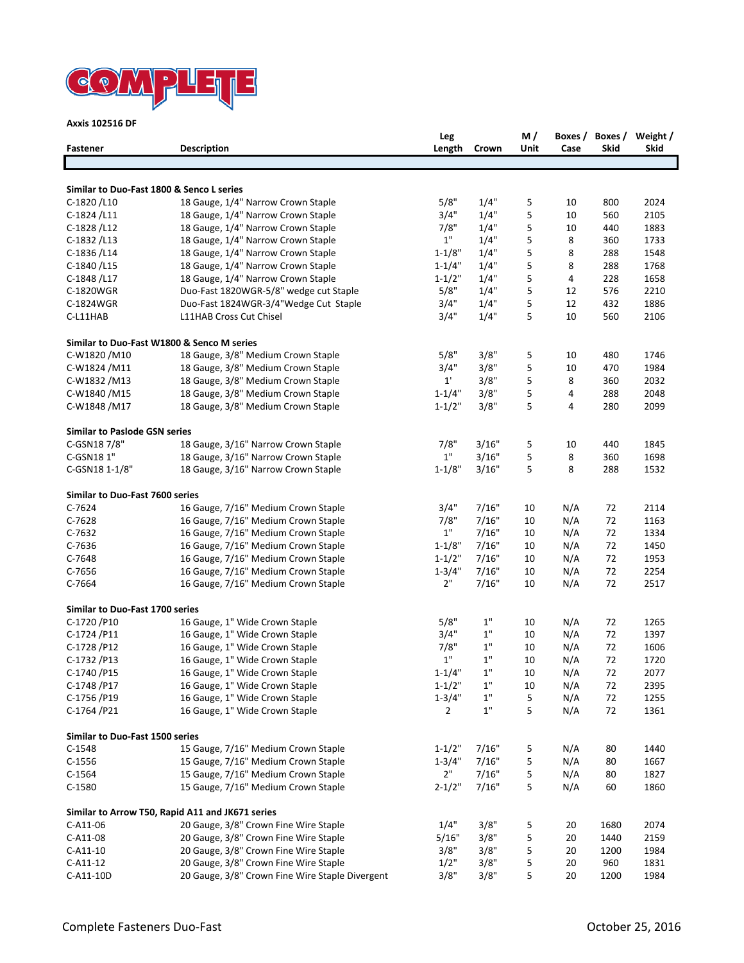

**Axxis 102516 DF**

| <b>Fastener</b>                           | <b>Description</b>                               | Leg<br>Length  | Crown | M/<br>Unit | Boxes /<br>Case | Skid | Boxes / Weight /<br><b>Skid</b> |
|-------------------------------------------|--------------------------------------------------|----------------|-------|------------|-----------------|------|---------------------------------|
|                                           |                                                  |                |       |            |                 |      |                                 |
| Similar to Duo-Fast 1800 & Senco L series |                                                  |                |       |            |                 |      |                                 |
| C-1820/L10                                | 18 Gauge, 1/4" Narrow Crown Staple               | 5/8"           | 1/4"  | 5          | 10              | 800  | 2024                            |
| C-1824/L11                                | 18 Gauge, 1/4" Narrow Crown Staple               | 3/4"           | 1/4"  | 5          | 10              | 560  | 2105                            |
| C-1828/L12                                | 18 Gauge, 1/4" Narrow Crown Staple               | 7/8"           | 1/4"  | 5          | 10              | 440  | 1883                            |
| C-1832/L13                                | 18 Gauge, 1/4" Narrow Crown Staple               | 1"             | 1/4"  | 5          | 8               | 360  | 1733                            |
| C-1836/L14                                | 18 Gauge, 1/4" Narrow Crown Staple               | $1 - 1/8"$     | 1/4"  | 5          | 8               | 288  | 1548                            |
| C-1840/L15                                | 18 Gauge, 1/4" Narrow Crown Staple               | $1 - 1/4"$     | 1/4"  | 5          | 8               | 288  | 1768                            |
| C-1848/L17                                | 18 Gauge, 1/4" Narrow Crown Staple               | $1 - 1/2"$     | 1/4"  | 5          | 4               | 228  | 1658                            |
| C-1820WGR                                 | Duo-Fast 1820WGR-5/8" wedge cut Staple           | 5/8"           | 1/4"  | 5          | 12              | 576  | 2210                            |
| C-1824WGR                                 | Duo-Fast 1824WGR-3/4"Wedge Cut Staple            | 3/4"           | 1/4"  | 5          | 12              | 432  | 1886                            |
| C-L11HAB                                  | L11HAB Cross Cut Chisel                          | 3/4"           | 1/4"  | 5          | 10              | 560  | 2106                            |
|                                           | Similar to Duo-Fast W1800 & Senco M series       |                |       |            |                 |      |                                 |
| C-W1820/M10                               | 18 Gauge, 3/8" Medium Crown Staple               | 5/8"           | 3/8"  | 5          | 10              | 480  | 1746                            |
| C-W1824 /M11                              | 18 Gauge, 3/8" Medium Crown Staple               | 3/4"           | 3/8"  | 5          | 10              | 470  | 1984                            |
| C-W1832 /M13                              | 18 Gauge, 3/8" Medium Crown Staple               | $1^{\prime}$   | 3/8"  | 5          | 8               | 360  | 2032                            |
| C-W1840 /M15                              | 18 Gauge, 3/8" Medium Crown Staple               | $1 - 1/4"$     | 3/8"  | 5          | 4               | 288  | 2048                            |
| C-W1848 /M17                              | 18 Gauge, 3/8" Medium Crown Staple               | $1 - 1/2"$     | 3/8"  | 5          | 4               | 280  | 2099                            |
| <b>Similar to Paslode GSN series</b>      |                                                  |                |       |            |                 |      |                                 |
| C-GSN18 7/8"                              | 18 Gauge, 3/16" Narrow Crown Staple              | 7/8"           | 3/16" | 5          | 10              | 440  | 1845                            |
| C-GSN181"                                 | 18 Gauge, 3/16" Narrow Crown Staple              | 1"             | 3/16" | 5          | 8               | 360  | 1698                            |
| C-GSN18 1-1/8"                            | 18 Gauge, 3/16" Narrow Crown Staple              | $1 - 1/8"$     | 3/16" | 5          | 8               | 288  | 1532                            |
| Similar to Duo-Fast 7600 series           |                                                  |                |       |            |                 |      |                                 |
| $C-7624$                                  |                                                  | 3/4"           | 7/16" |            | N/A             |      |                                 |
|                                           | 16 Gauge, 7/16" Medium Crown Staple              |                |       | 10         |                 | 72   | 2114                            |
| $C-7628$                                  | 16 Gauge, 7/16" Medium Crown Staple              | 7/8"           | 7/16" | 10         | N/A             | 72   | 1163                            |
| $C-7632$                                  | 16 Gauge, 7/16" Medium Crown Staple              | 1"             | 7/16" | 10         | N/A             | 72   | 1334                            |
| $C-7636$                                  | 16 Gauge, 7/16" Medium Crown Staple              | $1 - 1/8"$     | 7/16" | 10         | N/A             | 72   | 1450                            |
| C-7648                                    | 16 Gauge, 7/16" Medium Crown Staple              | $1 - 1/2"$     | 7/16" | 10         | N/A             | 72   | 1953                            |
| $C-7656$                                  | 16 Gauge, 7/16" Medium Crown Staple              | $1 - 3/4"$     | 7/16" | 10         | N/A             | 72   | 2254                            |
| C-7664                                    | 16 Gauge, 7/16" Medium Crown Staple              | 2"             | 7/16" | 10         | N/A             | 72   | 2517                            |
| Similar to Duo-Fast 1700 series           |                                                  |                |       |            |                 |      |                                 |
| C-1720 / P10                              | 16 Gauge, 1" Wide Crown Staple                   | 5/8"           | $1"$  | 10         | N/A             | 72   | 1265                            |
| C-1724/P11                                | 16 Gauge, 1" Wide Crown Staple                   | 3/4"           | $1"$  | 10         | N/A             | 72   | 1397                            |
| C-1728 / P12                              | 16 Gauge, 1" Wide Crown Staple                   | 7/8"           | $1"$  | 10         | N/A             | 72   | 1606                            |
| C-1732 / P13                              | 16 Gauge, 1" Wide Crown Staple                   | $1"$           | 1"    | 10         | N/A             | 72   | 1720                            |
| C-1740 / P15                              | 16 Gauge, 1" Wide Crown Staple                   | $1 - 1/4"$     | 1"    | 10         | N/A             | 72   | 2077                            |
| C-1748 / P17                              | 16 Gauge, 1" Wide Crown Staple                   | $1 - 1/2"$     | $1"$  | 10         | N/A             | 72   | 2395                            |
| C-1756/P19                                | 16 Gauge, 1" Wide Crown Staple                   | $1 - 3/4"$     | 1"    | 5          | N/A             | 72   | 1255                            |
| C-1764 / P21                              | 16 Gauge, 1" Wide Crown Staple                   | $\overline{2}$ | $1"$  | 5          | N/A             | 72   | 1361                            |
| Similar to Duo-Fast 1500 series           |                                                  |                |       |            |                 |      |                                 |
| $C-1548$                                  | 15 Gauge, 7/16" Medium Crown Staple              | $1 - 1/2"$     | 7/16" | 5          | N/A             | 80   | 1440                            |
| $C-1556$                                  | 15 Gauge, 7/16" Medium Crown Staple              | $1 - 3/4"$     | 7/16" | 5          | N/A             | 80   | 1667                            |
| $C-1564$                                  | 15 Gauge, 7/16" Medium Crown Staple              | 2"             | 7/16" | 5          | N/A             | 80   | 1827                            |
| C-1580                                    | 15 Gauge, 7/16" Medium Crown Staple              | $2 - 1/2"$     | 7/16" | 5          | N/A             | 60   | 1860                            |
|                                           | Similar to Arrow T50, Rapid A11 and JK671 series |                |       |            |                 |      |                                 |
| C-A11-06                                  | 20 Gauge, 3/8" Crown Fine Wire Staple            | 1/4"           | 3/8"  | 5          | 20              | 1680 | 2074                            |
| C-A11-08                                  | 20 Gauge, 3/8" Crown Fine Wire Staple            | 5/16"          | 3/8"  | 5          | 20              | 1440 | 2159                            |
| $C-A11-10$                                | 20 Gauge, 3/8" Crown Fine Wire Staple            | 3/8"           | 3/8"  | 5          | 20              | 1200 | 1984                            |
| $C-A11-12$                                | 20 Gauge, 3/8" Crown Fine Wire Staple            | 1/2"           | 3/8"  | 5          | 20              | 960  | 1831                            |
| C-A11-10D                                 | 20 Gauge, 3/8" Crown Fine Wire Staple Divergent  | 3/8"           | 3/8"  | 5          | 20              | 1200 | 1984                            |